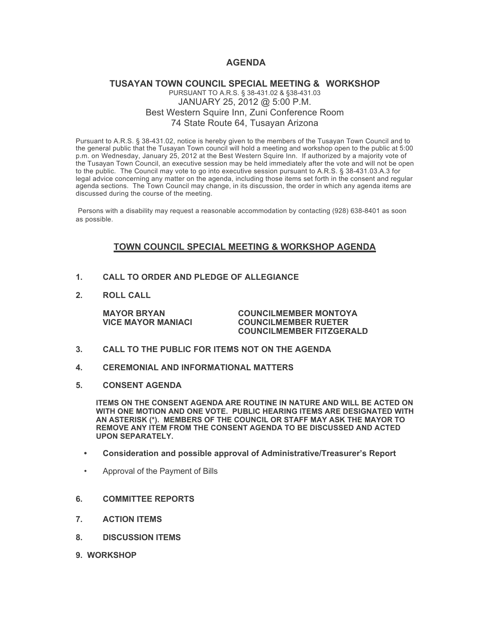# **AGENDA**

## **TUSAYAN TOWN COUNCIL SPECIAL MEETING & WORKSHOP** PURSUANT TO A.R.S. § 38-431.02 & §38-431.03 JANUARY 25, 2012 @ 5:00 P.M. Best Western Squire Inn, Zuni Conference Room 74 State Route 64, Tusayan Arizona

Pursuant to A.R.S. § 38-431.02, notice is hereby given to the members of the Tusayan Town Council and to the general public that the Tusayan Town council will hold a meeting and workshop open to the public at 5:00 p.m. on Wednesday, January 25, 2012 at the Best Western Squire Inn. If authorized by a majority vote of the Tusayan Town Council, an executive session may be held immediately after the vote and will not be open to the public. The Council may vote to go into executive session pursuant to A.R.S. § 38-431.03.A.3 for legal advice concerning any matter on the agenda, including those items set forth in the consent and regular agenda sections. The Town Council may change, in its discussion, the order in which any agenda items are discussed during the course of the meeting.

Persons with a disability may request a reasonable accommodation by contacting (928) 638-8401 as soon as possible.

# **TOWN COUNCIL SPECIAL MEETING & WORKSHOP AGENDA**

- **1. CALL TO ORDER AND PLEDGE OF ALLEGIANCE**
- **2. ROLL CALL**

**MAYOR BRYAN COUNCILMEMBER MONTOYA VICE MAYOR MANIACI COUNCILMEMBER RUETER COUNCILMEMBER FITZGERALD**

- **3. CALL TO THE PUBLIC FOR ITEMS NOT ON THE AGENDA**
- **4. CEREMONIAL AND INFORMATIONAL MATTERS**
- **5. CONSENT AGENDA**

**ITEMS ON THE CONSENT AGENDA ARE ROUTINE IN NATURE AND WILL BE ACTED ON WITH ONE MOTION AND ONE VOTE. PUBLIC HEARING ITEMS ARE DESIGNATED WITH AN ASTERISK (\*). MEMBERS OF THE COUNCIL OR STAFF MAY ASK THE MAYOR TO REMOVE ANY ITEM FROM THE CONSENT AGENDA TO BE DISCUSSED AND ACTED UPON SEPARATELY.**

- **• Consideration and possible approval of Administrative/Treasurer's Report**
- Approval of the Payment of Bills
- **6. COMMITTEE REPORTS**
- **7. ACTION ITEMS**
- **8. DISCUSSION ITEMS**
- **9. WORKSHOP**